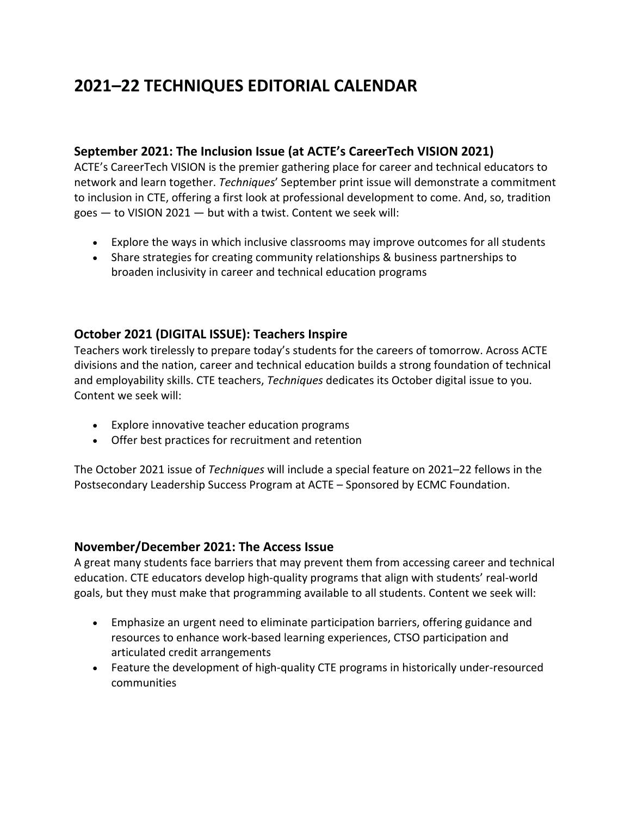# **2021–22 TECHNIQUES EDITORIAL CALENDAR**

#### **September 2021: The Inclusion Issue (at ACTE's CareerTech VISION 2021)**

ACTE's CareerTech VISION is the premier gathering place for career and technical educators to network and learn together. *Techniques*' September print issue will demonstrate a commitment to inclusion in CTE, offering a first look at professional development to come. And, so, tradition goes  $-$  to VISION 2021  $-$  but with a twist. Content we seek will:

- Explore the ways in which inclusive classrooms may improve outcomes for all students
- Share strategies for creating community relationships & business partnerships to broaden inclusivity in career and technical education programs

#### **October 2021 (DIGITAL ISSUE): Teachers Inspire**

Teachers work tirelessly to prepare today's students for the careers of tomorrow. Across ACTE divisions and the nation, career and technical education builds a strong foundation of technical and employability skills. CTE teachers, *Techniques* dedicates its October digital issue to you. Content we seek will:

- Explore innovative teacher education programs
- Offer best practices for recruitment and retention

The October 2021 issue of *Techniques* will include a special feature on 2021–22 fellows in the Postsecondary Leadership Success Program at ACTE – Sponsored by ECMC Foundation.

#### **November/December 2021: The Access Issue**

A great many students face barriers that may prevent them from accessing career and technical education. CTE educators develop high-quality programs that align with students' real-world goals, but they must make that programming available to all students. Content we seek will:

- Emphasize an urgent need to eliminate participation barriers, offering guidance and resources to enhance work-based learning experiences, CTSO participation and articulated credit arrangements
- Feature the development of high-quality CTE programs in historically under-resourced communities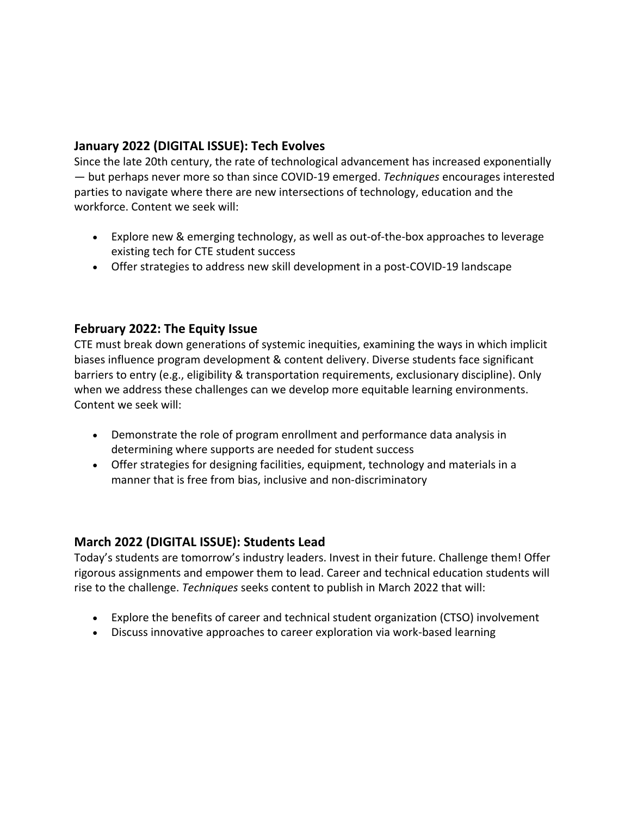## **January 2022 (DIGITAL ISSUE): Tech Evolves**

Since the late 20th century, the rate of technological advancement has increased exponentially — but perhaps never more so than since COVID-19 emerged. *Techniques* encourages interested parties to navigate where there are new intersections of technology, education and the workforce. Content we seek will:

- Explore new & emerging technology, as well as out-of-the-box approaches to leverage existing tech for CTE student success
- Offer strategies to address new skill development in a post-COVID-19 landscape

#### **February 2022: The Equity Issue**

CTE must break down generations of systemic inequities, examining the ways in which implicit biases influence program development & content delivery. Diverse students face significant barriers to entry (e.g., eligibility & transportation requirements, exclusionary discipline). Only when we address these challenges can we develop more equitable learning environments. Content we seek will:

- Demonstrate the role of program enrollment and performance data analysis in determining where supports are needed for student success
- Offer strategies for designing facilities, equipment, technology and materials in a manner that is free from bias, inclusive and non-discriminatory

#### **March 2022 (DIGITAL ISSUE): Students Lead**

Today's students are tomorrow's industry leaders. Invest in their future. Challenge them! Offer rigorous assignments and empower them to lead. Career and technical education students will rise to the challenge. *Techniques* seeks content to publish in March 2022 that will:

- Explore the benefits of career and technical student organization (CTSO) involvement
- Discuss innovative approaches to career exploration via work-based learning